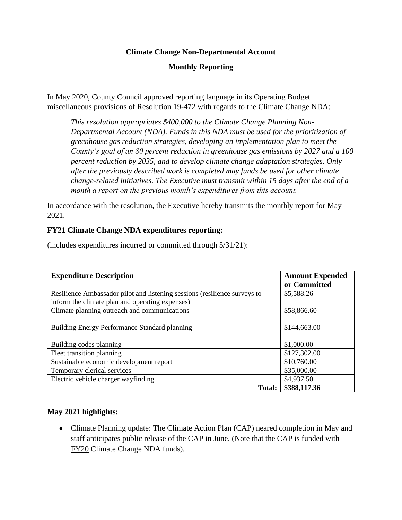## **Climate Change Non-Departmental Account**

## **Monthly Reporting**

In May 2020, County Council approved reporting language in its Operating Budget miscellaneous provisions of Resolution 19-472 with regards to the Climate Change NDA:

*This resolution appropriates \$400,000 to the Climate Change Planning Non-Departmental Account (NDA). Funds in this NDA must be used for the prioritization of greenhouse gas reduction strategies, developing an implementation plan to meet the County's goal of an 80 percent reduction in greenhouse gas emissions by 2027 and a 100 percent reduction by 2035, and to develop climate change adaptation strategies. Only after the previously described work is completed may funds be used for other climate change-related initiatives. The Executive must transmit within 15 days after the end of a month a report on the previous month's expenditures from this account.*

In accordance with the resolution, the Executive hereby transmits the monthly report for May 2021.

### **FY21 Climate Change NDA expenditures reporting:**

(includes expenditures incurred or committed through 5/31/21):

| <b>Expenditure Description</b>                                            | <b>Amount Expended</b> |
|---------------------------------------------------------------------------|------------------------|
|                                                                           | or Committed           |
| Resilience Ambassador pilot and listening sessions (resilience surveys to | \$5,588.26             |
| inform the climate plan and operating expenses)                           |                        |
| Climate planning outreach and communications                              | \$58,866.60            |
|                                                                           |                        |
| Building Energy Performance Standard planning                             | \$144,663.00           |
|                                                                           |                        |
| Building codes planning                                                   | \$1,000.00             |
| Fleet transition planning                                                 | \$127,302.00           |
| Sustainable economic development report                                   | \$10,760.00            |
| Temporary clerical services                                               | \$35,000.00            |
| Electric vehicle charger wayfinding                                       | \$4,937.50             |
| Total:                                                                    | \$388,117.36           |

#### **May 2021 highlights:**

• Climate Planning update: The Climate Action Plan (CAP) neared completion in May and staff anticipates public release of the CAP in June. (Note that the CAP is funded with FY20 Climate Change NDA funds).